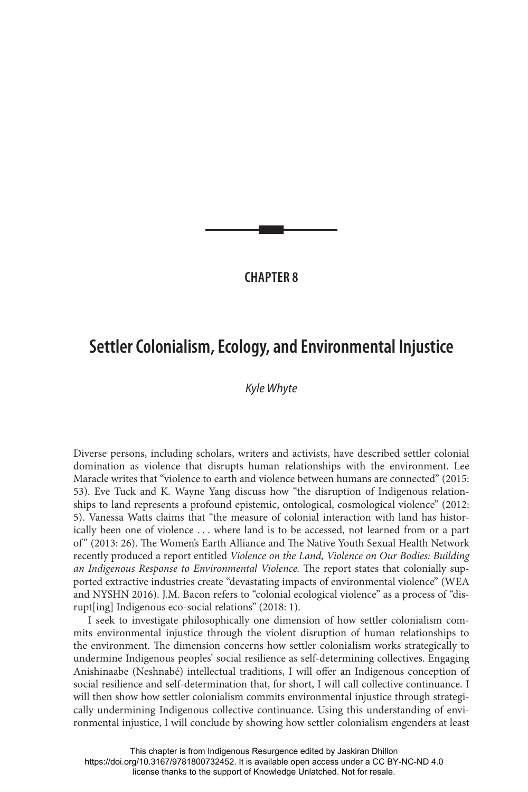

# **CHAPTER 8**

# **Settler Colonialism, Ecology, and Environmental Injustice**

# *Kyle Whyte*

Diverse persons, including scholars, writers and activists, have described settler colonial domination as violence that disrupts human relationships with the environment. Lee Maracle writes that "violence to earth and violence between humans are connected" (2015: 53). Eve Tuck and K. Wayne Yang discuss how "the disruption of Indigenous relationships to land represents a profound epistemic, ontological, cosmological violence" (2012: 5). Vanessa Watts claims that "the measure of colonial interaction with land has historically been one of violence . . . where land is to be accessed, not learned from or a part of " (2013: 26). The Women's Earth Alliance and The Native Youth Sexual Health Network recently produced a report entitled *Violence on the Land, Violence on Our Bodies: Building an Indigenous Response to Environmental Violence.* The report states that colonially supported extractive industries create "devastating impacts of environmental violence" (WEA and NYSHN 2016). J.M. Bacon refers to "colonial ecological violence" as a process of "disrupt[ing] Indigenous eco-social relations" (2018: 1).

I seek to investigate philosophically one dimension of how settler colonialism commits environmental injustice through the violent disruption of human relationships to the environment. The dimension concerns how settler colonialism works strategically to undermine Indigenous peoples' social resilience as self-determining collectives. Engaging Anishinaabe (Neshnabé) intellectual traditions, I will offer an Indigenous conception of social resilience and self-determination that, for short, I will call collective continuance. I will then show how settler colonialism commits environmental injustice through strategically undermining Indigenous collective continuance. Using this understanding of environmental injustice, I will conclude by showing how settler colonialism engenders at least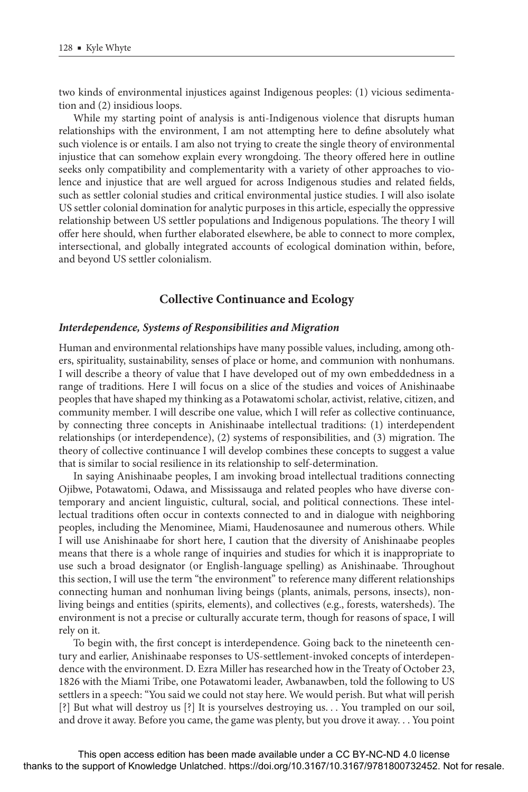two kinds of environmental injustices against Indigenous peoples: (1) vicious sedimentation and (2) insidious loops.

While my starting point of analysis is anti-Indigenous violence that disrupts human relationships with the environment, I am not attempting here to define absolutely what such violence is or entails. I am also not trying to create the single theory of environmental injustice that can somehow explain every wrongdoing. The theory offered here in outline seeks only compatibility and complementarity with a variety of other approaches to violence and injustice that are well argued for across Indigenous studies and related fields, such as settler colonial studies and critical environmental justice studies. I will also isolate US settler colonial domination for analytic purposes in this article, especially the oppressive relationship between US settler populations and Indigenous populations. The theory I will offer here should, when further elaborated elsewhere, be able to connect to more complex, intersectional, and globally integrated accounts of ecological domination within, before, and beyond US settler colonialism.

## **Collective Continuance and Ecology**

#### *Interdependence, Systems of Responsibilities and Migration*

Human and environmental relationships have many possible values, including, among others, spirituality, sustainability, senses of place or home, and communion with nonhumans. I will describe a theory of value that I have developed out of my own embeddedness in a range of traditions. Here I will focus on a slice of the studies and voices of Anishinaabe peoples that have shaped my thinking as a Potawatomi scholar, activist, relative, citizen, and community member. I will describe one value, which I will refer as collective continuance, by connecting three concepts in Anishinaabe intellectual traditions: (1) interdependent relationships (or interdependence), (2) systems of responsibilities, and (3) migration. The theory of collective continuance I will develop combines these concepts to suggest a value that is similar to social resilience in its relationship to self-determination.

In saying Anishinaabe peoples, I am invoking broad intellectual traditions connecting Ojibwe, Potawatomi, Odawa, and Mississauga and related peoples who have diverse contemporary and ancient linguistic, cultural, social, and political connections. These intellectual traditions often occur in contexts connected to and in dialogue with neighboring peoples, including the Menominee, Miami, Haudenosaunee and numerous others. While I will use Anishinaabe for short here, I caution that the diversity of Anishinaabe peoples means that there is a whole range of inquiries and studies for which it is inappropriate to use such a broad designator (or English-language spelling) as Anishinaabe. Throughout this section, I will use the term "the environment" to reference many different relationships connecting human and nonhuman living beings (plants, animals, persons, insects), nonliving beings and entities (spirits, elements), and collectives (e.g., forests, watersheds). The environment is not a precise or culturally accurate term, though for reasons of space, I will rely on it.

To begin with, the first concept is interdependence. Going back to the nineteenth century and earlier, Anishinaabe responses to US-settlement-invoked concepts of interdependence with the environment. D. Ezra Miller has researched how in the Treaty of October 23, 1826 with the Miami Tribe, one Potawatomi leader, Awbanawben, told the following to US settlers in a speech: "You said we could not stay here. We would perish. But what will perish [?] But what will destroy us [?] It is yourselves destroying us. . . You trampled on our soil, and drove it away. Before you came, the game was plenty, but you drove it away. . . You point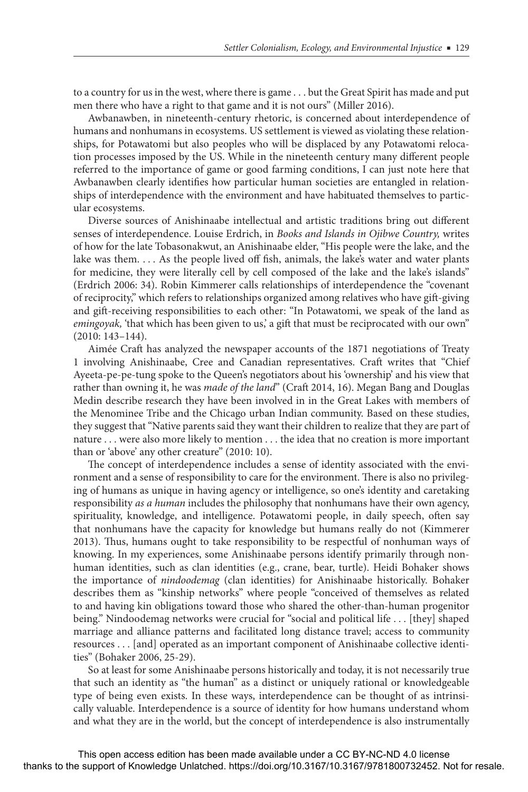to a country for us in the west, where there is game . . . but the Great Spirit has made and put men there who have a right to that game and it is not ours" (Miller 2016).

Awbanawben, in nineteenth-century rhetoric, is concerned about interdependence of humans and nonhumans in ecosystems. US settlement is viewed as violating these relationships, for Potawatomi but also peoples who will be displaced by any Potawatomi relocation processes imposed by the US. While in the nineteenth century many different people referred to the importance of game or good farming conditions, I can just note here that Awbanawben clearly identifies how particular human societies are entangled in relationships of interdependence with the environment and have habituated themselves to particular ecosystems.

Diverse sources of Anishinaabe intellectual and artistic traditions bring out different senses of interdependence. Louise Erdrich, in *Books and Islands in Ojibwe Country,* writes of how for the late Tobasonakwut, an Anishinaabe elder, "His people were the lake, and the lake was them. . . . As the people lived off fish, animals, the lake's water and water plants for medicine, they were literally cell by cell composed of the lake and the lake's islands" (Erdrich 2006: 34). Robin Kimmerer calls relationships of interdependence the "covenant of reciprocity," which refers to relationships organized among relatives who have gift-giving and gift-receiving responsibilities to each other: "In Potawatomi, we speak of the land as *emingoyak,* 'that which has been given to us,' a gift that must be reciprocated with our own" (2010: 143–144).

Aimée Craft has analyzed the newspaper accounts of the 1871 negotiations of Treaty 1 involving Anishinaabe, Cree and Canadian representatives. Craft writes that "Chief Ayeeta-pe-pe-tung spoke to the Queen's negotiators about his 'ownership' and his view that rather than owning it, he was *made of the land*" (Craft 2014, 16). Megan Bang and Douglas Medin describe research they have been involved in in the Great Lakes with members of the Menominee Tribe and the Chicago urban Indian community. Based on these studies, they suggest that "Native parents said they want their children to realize that they are part of nature . . . were also more likely to mention . . . the idea that no creation is more important than or 'above' any other creature" (2010: 10).

The concept of interdependence includes a sense of identity associated with the environment and a sense of responsibility to care for the environment. There is also no privileging of humans as unique in having agency or intelligence, so one's identity and caretaking responsibility *as a human* includes the philosophy that nonhumans have their own agency, spirituality, knowledge, and intelligence. Potawatomi people, in daily speech, often say that nonhumans have the capacity for knowledge but humans really do not (Kimmerer 2013). Thus, humans ought to take responsibility to be respectful of nonhuman ways of knowing. In my experiences, some Anishinaabe persons identify primarily through nonhuman identities, such as clan identities (e.g., crane, bear, turtle). Heidi Bohaker shows the importance of *nindoodemag* (clan identities) for Anishinaabe historically. Bohaker describes them as "kinship networks" where people "conceived of themselves as related to and having kin obligations toward those who shared the other-than-human progenitor being." Nindoodemag networks were crucial for "social and political life . . . [they] shaped marriage and alliance patterns and facilitated long distance travel; access to community resources . . . [and] operated as an important component of Anishinaabe collective identities" (Bohaker 2006, 25-29).

So at least for some Anishinaabe persons historically and today, it is not necessarily true that such an identity as "the human" as a distinct or uniquely rational or knowledgeable type of being even exists. In these ways, interdependence can be thought of as intrinsically valuable. Interdependence is a source of identity for how humans understand whom and what they are in the world, but the concept of interdependence is also instrumentally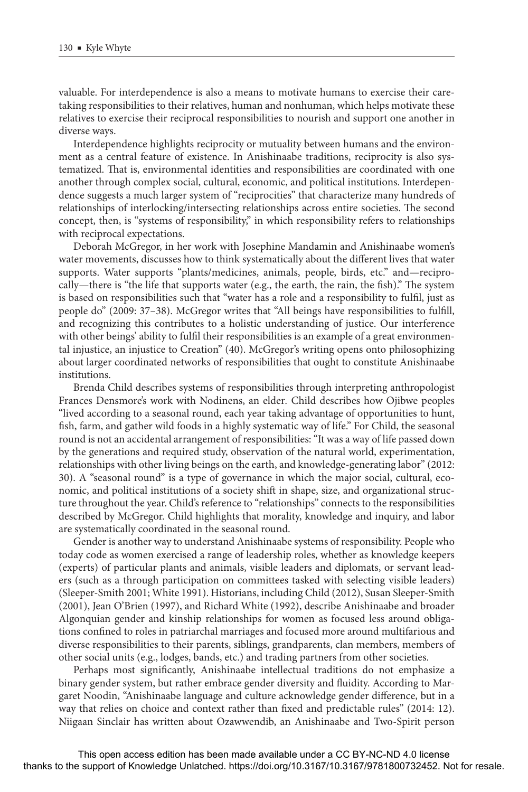valuable. For interdependence is also a means to motivate humans to exercise their caretaking responsibilities to their relatives, human and nonhuman, which helps motivate these relatives to exercise their reciprocal responsibilities to nourish and support one another in diverse ways.

Interdependence highlights reciprocity or mutuality between humans and the environment as a central feature of existence. In Anishinaabe traditions, reciprocity is also systematized. That is, environmental identities and responsibilities are coordinated with one another through complex social, cultural, economic, and political institutions. Interdependence suggests a much larger system of "reciprocities" that characterize many hundreds of relationships of interlocking/intersecting relationships across entire societies. The second concept, then, is "systems of responsibility," in which responsibility refers to relationships with reciprocal expectations.

Deborah McGregor, in her work with Josephine Mandamin and Anishinaabe women's water movements, discusses how to think systematically about the different lives that water supports. Water supports "plants/medicines, animals, people, birds, etc." and—reciprocally—there is "the life that supports water (e.g., the earth, the rain, the fish)." The system is based on responsibilities such that "water has a role and a responsibility to fulfil, just as people do" (2009: 37–38). McGregor writes that "All beings have responsibilities to fulfill, and recognizing this contributes to a holistic understanding of justice. Our interference with other beings' ability to fulfil their responsibilities is an example of a great environmental injustice, an injustice to Creation" (40). McGregor's writing opens onto philosophizing about larger coordinated networks of responsibilities that ought to constitute Anishinaabe institutions.

Brenda Child describes systems of responsibilities through interpreting anthropologist Frances Densmore's work with Nodinens, an elder*.* Child describes how Ojibwe peoples "lived according to a seasonal round, each year taking advantage of opportunities to hunt, fish, farm, and gather wild foods in a highly systematic way of life." For Child, the seasonal round is not an accidental arrangement of responsibilities: "It was a way of life passed down by the generations and required study, observation of the natural world, experimentation, relationships with other living beings on the earth, and knowledge-generating labor" (2012: 30). A "seasonal round" is a type of governance in which the major social, cultural, economic, and political institutions of a society shift in shape, size, and organizational structure throughout the year. Child's reference to "relationships" connects to the responsibilities described by McGregor. Child highlights that morality, knowledge and inquiry, and labor are systematically coordinated in the seasonal round.

Gender is another way to understand Anishinaabe systems of responsibility. People who today code as women exercised a range of leadership roles, whether as knowledge keepers (experts) of particular plants and animals, visible leaders and diplomats, or servant leaders (such as a through participation on committees tasked with selecting visible leaders) (Sleeper-Smith 2001; White 1991). Historians, including Child (2012), Susan Sleeper-Smith (2001), Jean O'Brien (1997), and Richard White (1992), describe Anishinaabe and broader Algonquian gender and kinship relationships for women as focused less around obligations confined to roles in patriarchal marriages and focused more around multifarious and diverse responsibilities to their parents, siblings, grandparents, clan members, members of other social units (e.g., lodges, bands, etc.) and trading partners from other societies.

Perhaps most significantly, Anishinaabe intellectual traditions do not emphasize a binary gender system, but rather embrace gender diversity and fluidity. According to Margaret Noodin, "Anishinaabe language and culture acknowledge gender difference, but in a way that relies on choice and context rather than fixed and predictable rules" (2014: 12). Niigaan Sinclair has written about Ozawwendib, an Anishinaabe and Two-Spirit person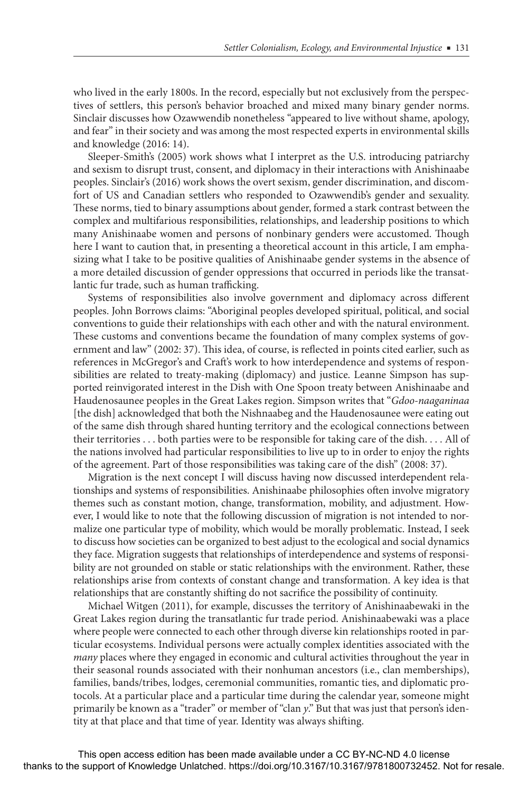who lived in the early 1800s. In the record, especially but not exclusively from the perspectives of settlers, this person's behavior broached and mixed many binary gender norms. Sinclair discusses how Ozawwendib nonetheless "appeared to live without shame, apology, and fear" in their society and was among the most respected experts in environmental skills and knowledge (2016: 14).

Sleeper-Smith's (2005) work shows what I interpret as the U.S. introducing patriarchy and sexism to disrupt trust, consent, and diplomacy in their interactions with Anishinaabe peoples. Sinclair's (2016) work shows the overt sexism, gender discrimination, and discomfort of US and Canadian settlers who responded to Ozawwendib's gender and sexuality. These norms, tied to binary assumptions about gender, formed a stark contrast between the complex and multifarious responsibilities, relationships, and leadership positions to which many Anishinaabe women and persons of nonbinary genders were accustomed. Though here I want to caution that, in presenting a theoretical account in this article, I am emphasizing what I take to be positive qualities of Anishinaabe gender systems in the absence of a more detailed discussion of gender oppressions that occurred in periods like the transatlantic fur trade, such as human trafficking.

Systems of responsibilities also involve government and diplomacy across different peoples. John Borrows claims: "Aboriginal peoples developed spiritual, political, and social conventions to guide their relationships with each other and with the natural environment. These customs and conventions became the foundation of many complex systems of government and law" (2002: 37). This idea, of course, is reflected in points cited earlier, such as references in McGregor's and Craft's work to how interdependence and systems of responsibilities are related to treaty-making (diplomacy) and justice. Leanne Simpson has supported reinvigorated interest in the Dish with One Spoon treaty between Anishinaabe and Haudenosaunee peoples in the Great Lakes region. Simpson writes that "*Gdoo-naaganinaa* [the dish] acknowledged that both the Nishnaabeg and the Haudenosaunee were eating out of the same dish through shared hunting territory and the ecological connections between their territories . . . both parties were to be responsible for taking care of the dish. . . . All of the nations involved had particular responsibilities to live up to in order to enjoy the rights of the agreement. Part of those responsibilities was taking care of the dish" (2008: 37).

Migration is the next concept I will discuss having now discussed interdependent relationships and systems of responsibilities. Anishinaabe philosophies often involve migratory themes such as constant motion, change, transformation, mobility, and adjustment. However, I would like to note that the following discussion of migration is not intended to normalize one particular type of mobility, which would be morally problematic. Instead, I seek to discuss how societies can be organized to best adjust to the ecological and social dynamics they face. Migration suggests that relationships of interdependence and systems of responsibility are not grounded on stable or static relationships with the environment. Rather, these relationships arise from contexts of constant change and transformation. A key idea is that relationships that are constantly shifting do not sacrifice the possibility of continuity.

Michael Witgen (2011), for example, discusses the territory of Anishinaabewaki in the Great Lakes region during the transatlantic fur trade period. Anishinaabewaki was a place where people were connected to each other through diverse kin relationships rooted in particular ecosystems. Individual persons were actually complex identities associated with the *many* places where they engaged in economic and cultural activities throughout the year in their seasonal rounds associated with their nonhuman ancestors (i.e., clan memberships), families, bands/tribes, lodges, ceremonial communities, romantic ties, and diplomatic protocols. At a particular place and a particular time during the calendar year, someone might primarily be known as a "trader" or member of "clan *y*." But that was just that person's identity at that place and that time of year. Identity was always shifting.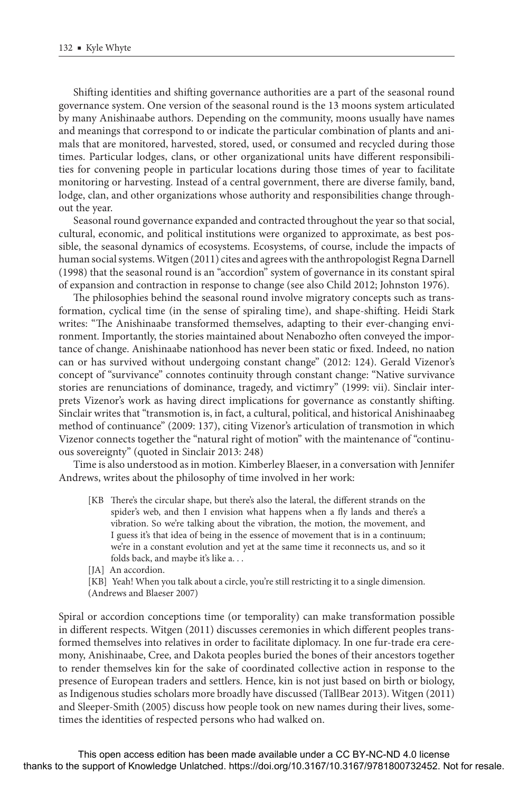Shifting identities and shifting governance authorities are a part of the seasonal round governance system. One version of the seasonal round is the 13 moons system articulated by many Anishinaabe authors. Depending on the community, moons usually have names and meanings that correspond to or indicate the particular combination of plants and animals that are monitored, harvested, stored, used, or consumed and recycled during those times. Particular lodges, clans, or other organizational units have different responsibilities for convening people in particular locations during those times of year to facilitate monitoring or harvesting. Instead of a central government, there are diverse family, band, lodge, clan, and other organizations whose authority and responsibilities change throughout the year.

Seasonal round governance expanded and contracted throughout the year so that social, cultural, economic, and political institutions were organized to approximate, as best possible, the seasonal dynamics of ecosystems. Ecosystems, of course, include the impacts of human social systems. Witgen (2011) cites and agrees with the anthropologist Regna Darnell (1998) that the seasonal round is an "accordion" system of governance in its constant spiral of expansion and contraction in response to change (see also Child 2012; Johnston 1976).

The philosophies behind the seasonal round involve migratory concepts such as transformation, cyclical time (in the sense of spiraling time), and shape-shifting. Heidi Stark writes: "The Anishinaabe transformed themselves, adapting to their ever-changing environment. Importantly, the stories maintained about Nenabozho often conveyed the importance of change. Anishinaabe nationhood has never been static or fixed. Indeed, no nation can or has survived without undergoing constant change" (2012: 124). Gerald Vizenor's concept of "survivance" connotes continuity through constant change: "Native survivance stories are renunciations of dominance, tragedy, and victimry" (1999: vii). Sinclair interprets Vizenor's work as having direct implications for governance as constantly shifting. Sinclair writes that "transmotion is, in fact, a cultural, political, and historical Anishinaabeg method of continuance" (2009: 137), citing Vizenor's articulation of transmotion in which Vizenor connects together the "natural right of motion" with the maintenance of "continuous sovereignty" (quoted in Sinclair 2013: 248)

Time is also understood as in motion. Kimberley Blaeser, in a conversation with Jennifer Andrews, writes about the philosophy of time involved in her work:

- [KB There's the circular shape, but there's also the lateral, the different strands on the spider's web, and then I envision what happens when a fly lands and there's a vibration. So we're talking about the vibration, the motion, the movement, and I guess it's that idea of being in the essence of movement that is in a continuum; we're in a constant evolution and yet at the same time it reconnects us, and so it folds back, and maybe it's like a. . .
- [IA] An accordion.
- [KB] Yeah! When you talk about a circle, you're still restricting it to a single dimension.
- (Andrews and Blaeser 2007)

Spiral or accordion conceptions time (or temporality) can make transformation possible in different respects. Witgen (2011) discusses ceremonies in which different peoples transformed themselves into relatives in order to facilitate diplomacy. In one fur-trade era ceremony, Anishinaabe, Cree, and Dakota peoples buried the bones of their ancestors together to render themselves kin for the sake of coordinated collective action in response to the presence of European traders and settlers. Hence, kin is not just based on birth or biology, as Indigenous studies scholars more broadly have discussed (TallBear 2013). Witgen (2011) and Sleeper-Smith (2005) discuss how people took on new names during their lives, sometimes the identities of respected persons who had walked on.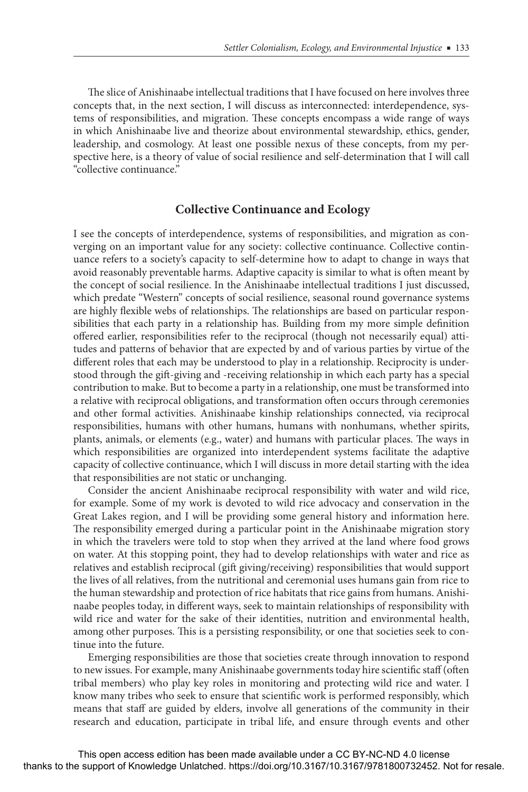The slice of Anishinaabe intellectual traditions that I have focused on here involves three concepts that, in the next section, I will discuss as interconnected: interdependence, systems of responsibilities, and migration. These concepts encompass a wide range of ways in which Anishinaabe live and theorize about environmental stewardship, ethics, gender, leadership, and cosmology. At least one possible nexus of these concepts, from my perspective here, is a theory of value of social resilience and self-determination that I will call "collective continuance."

## **Collective Continuance and Ecology**

I see the concepts of interdependence, systems of responsibilities, and migration as converging on an important value for any society: collective continuance. Collective continuance refers to a society's capacity to self-determine how to adapt to change in ways that avoid reasonably preventable harms. Adaptive capacity is similar to what is often meant by the concept of social resilience. In the Anishinaabe intellectual traditions I just discussed, which predate "Western" concepts of social resilience, seasonal round governance systems are highly flexible webs of relationships. The relationships are based on particular responsibilities that each party in a relationship has. Building from my more simple definition offered earlier, responsibilities refer to the reciprocal (though not necessarily equal) attitudes and patterns of behavior that are expected by and of various parties by virtue of the different roles that each may be understood to play in a relationship. Reciprocity is understood through the gift-giving and -receiving relationship in which each party has a special contribution to make. But to become a party in a relationship, one must be transformed into a relative with reciprocal obligations, and transformation often occurs through ceremonies and other formal activities. Anishinaabe kinship relationships connected, via reciprocal responsibilities, humans with other humans, humans with nonhumans, whether spirits, plants, animals, or elements (e.g., water) and humans with particular places. The ways in which responsibilities are organized into interdependent systems facilitate the adaptive capacity of collective continuance, which I will discuss in more detail starting with the idea that responsibilities are not static or unchanging.

Consider the ancient Anishinaabe reciprocal responsibility with water and wild rice, for example. Some of my work is devoted to wild rice advocacy and conservation in the Great Lakes region, and I will be providing some general history and information here. The responsibility emerged during a particular point in the Anishinaabe migration story in which the travelers were told to stop when they arrived at the land where food grows on water. At this stopping point, they had to develop relationships with water and rice as relatives and establish reciprocal (gift giving/receiving) responsibilities that would support the lives of all relatives, from the nutritional and ceremonial uses humans gain from rice to the human stewardship and protection of rice habitats that rice gains from humans. Anishinaabe peoples today, in different ways, seek to maintain relationships of responsibility with wild rice and water for the sake of their identities, nutrition and environmental health, among other purposes. This is a persisting responsibility, or one that societies seek to continue into the future.

Emerging responsibilities are those that societies create through innovation to respond to new issues. For example, many Anishinaabe governments today hire scientific staff (often tribal members) who play key roles in monitoring and protecting wild rice and water. I know many tribes who seek to ensure that scientific work is performed responsibly, which means that staff are guided by elders, involve all generations of the community in their research and education, participate in tribal life, and ensure through events and other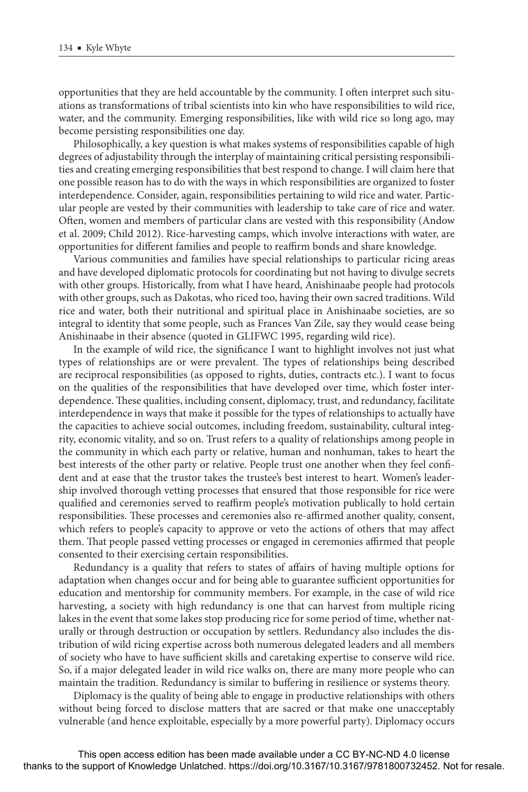opportunities that they are held accountable by the community. I often interpret such situations as transformations of tribal scientists into kin who have responsibilities to wild rice, water, and the community. Emerging responsibilities, like with wild rice so long ago, may become persisting responsibilities one day.

Philosophically, a key question is what makes systems of responsibilities capable of high degrees of adjustability through the interplay of maintaining critical persisting responsibilities and creating emerging responsibilities that best respond to change. I will claim here that one possible reason has to do with the ways in which responsibilities are organized to foster interdependence. Consider, again, responsibilities pertaining to wild rice and water. Particular people are vested by their communities with leadership to take care of rice and water. Often, women and members of particular clans are vested with this responsibility (Andow et al. 2009; Child 2012). Rice-harvesting camps, which involve interactions with water, are opportunities for different families and people to reaffirm bonds and share knowledge.

Various communities and families have special relationships to particular ricing areas and have developed diplomatic protocols for coordinating but not having to divulge secrets with other groups. Historically, from what I have heard, Anishinaabe people had protocols with other groups, such as Dakotas, who riced too, having their own sacred traditions. Wild rice and water, both their nutritional and spiritual place in Anishinaabe societies, are so integral to identity that some people, such as Frances Van Zile, say they would cease being Anishinaabe in their absence (quoted in GLIFWC 1995, regarding wild rice).

In the example of wild rice, the significance I want to highlight involves not just what types of relationships are or were prevalent. The types of relationships being described are reciprocal responsibilities (as opposed to rights, duties, contracts etc.). I want to focus on the qualities of the responsibilities that have developed over time, which foster interdependence. These qualities, including consent, diplomacy, trust, and redundancy, facilitate interdependence in ways that make it possible for the types of relationships to actually have the capacities to achieve social outcomes, including freedom, sustainability, cultural integrity, economic vitality, and so on. Trust refers to a quality of relationships among people in the community in which each party or relative, human and nonhuman, takes to heart the best interests of the other party or relative. People trust one another when they feel confident and at ease that the trustor takes the trustee's best interest to heart. Women's leadership involved thorough vetting processes that ensured that those responsible for rice were qualified and ceremonies served to reaffirm people's motivation publically to hold certain responsibilities. These processes and ceremonies also re-affirmed another quality, consent, which refers to people's capacity to approve or veto the actions of others that may affect them. That people passed vetting processes or engaged in ceremonies affirmed that people consented to their exercising certain responsibilities.

Redundancy is a quality that refers to states of affairs of having multiple options for adaptation when changes occur and for being able to guarantee sufficient opportunities for education and mentorship for community members. For example, in the case of wild rice harvesting, a society with high redundancy is one that can harvest from multiple ricing lakes in the event that some lakes stop producing rice for some period of time, whether naturally or through destruction or occupation by settlers. Redundancy also includes the distribution of wild ricing expertise across both numerous delegated leaders and all members of society who have to have sufficient skills and caretaking expertise to conserve wild rice. So, if a major delegated leader in wild rice walks on, there are many more people who can maintain the tradition. Redundancy is similar to buffering in resilience or systems theory.

Diplomacy is the quality of being able to engage in productive relationships with others without being forced to disclose matters that are sacred or that make one unacceptably vulnerable (and hence exploitable, especially by a more powerful party). Diplomacy occurs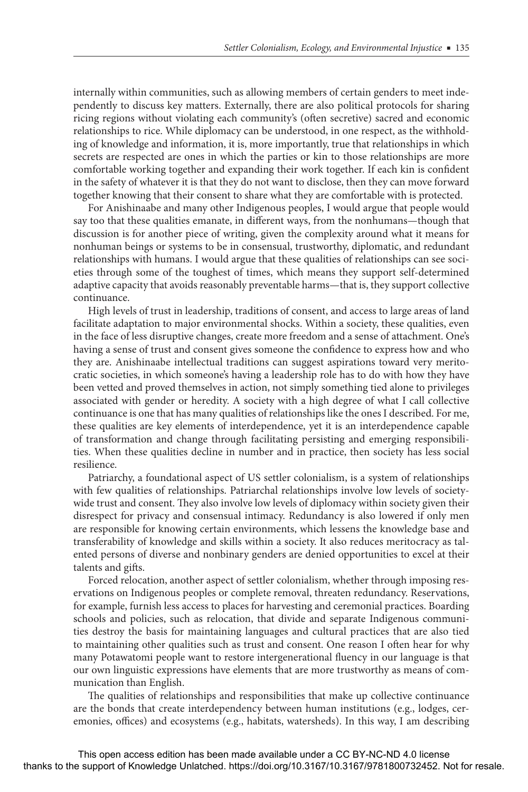internally within communities, such as allowing members of certain genders to meet independently to discuss key matters. Externally, there are also political protocols for sharing ricing regions without violating each community's (often secretive) sacred and economic relationships to rice. While diplomacy can be understood, in one respect, as the withholding of knowledge and information, it is, more importantly, true that relationships in which secrets are respected are ones in which the parties or kin to those relationships are more comfortable working together and expanding their work together. If each kin is confident in the safety of whatever it is that they do not want to disclose, then they can move forward together knowing that their consent to share what they are comfortable with is protected.

For Anishinaabe and many other Indigenous peoples, I would argue that people would say too that these qualities emanate, in different ways, from the nonhumans—though that discussion is for another piece of writing, given the complexity around what it means for nonhuman beings or systems to be in consensual, trustworthy, diplomatic, and redundant relationships with humans. I would argue that these qualities of relationships can see societies through some of the toughest of times, which means they support self-determined adaptive capacity that avoids reasonably preventable harms—that is, they support collective continuance.

High levels of trust in leadership, traditions of consent, and access to large areas of land facilitate adaptation to major environmental shocks. Within a society, these qualities, even in the face of less disruptive changes, create more freedom and a sense of attachment. One's having a sense of trust and consent gives someone the confidence to express how and who they are. Anishinaabe intellectual traditions can suggest aspirations toward very meritocratic societies, in which someone's having a leadership role has to do with how they have been vetted and proved themselves in action, not simply something tied alone to privileges associated with gender or heredity. A society with a high degree of what I call collective continuance is one that has many qualities of relationships like the ones I described. For me, these qualities are key elements of interdependence, yet it is an interdependence capable of transformation and change through facilitating persisting and emerging responsibilities. When these qualities decline in number and in practice, then society has less social resilience.

Patriarchy, a foundational aspect of US settler colonialism, is a system of relationships with few qualities of relationships. Patriarchal relationships involve low levels of societywide trust and consent. They also involve low levels of diplomacy within society given their disrespect for privacy and consensual intimacy. Redundancy is also lowered if only men are responsible for knowing certain environments, which lessens the knowledge base and transferability of knowledge and skills within a society. It also reduces meritocracy as talented persons of diverse and nonbinary genders are denied opportunities to excel at their talents and gifts.

Forced relocation, another aspect of settler colonialism, whether through imposing reservations on Indigenous peoples or complete removal, threaten redundancy. Reservations, for example, furnish less access to places for harvesting and ceremonial practices. Boarding schools and policies, such as relocation, that divide and separate Indigenous communities destroy the basis for maintaining languages and cultural practices that are also tied to maintaining other qualities such as trust and consent. One reason I often hear for why many Potawatomi people want to restore intergenerational fluency in our language is that our own linguistic expressions have elements that are more trustworthy as means of communication than English.

The qualities of relationships and responsibilities that make up collective continuance are the bonds that create interdependency between human institutions (e.g., lodges, ceremonies, offices) and ecosystems (e.g., habitats, watersheds). In this way, I am describing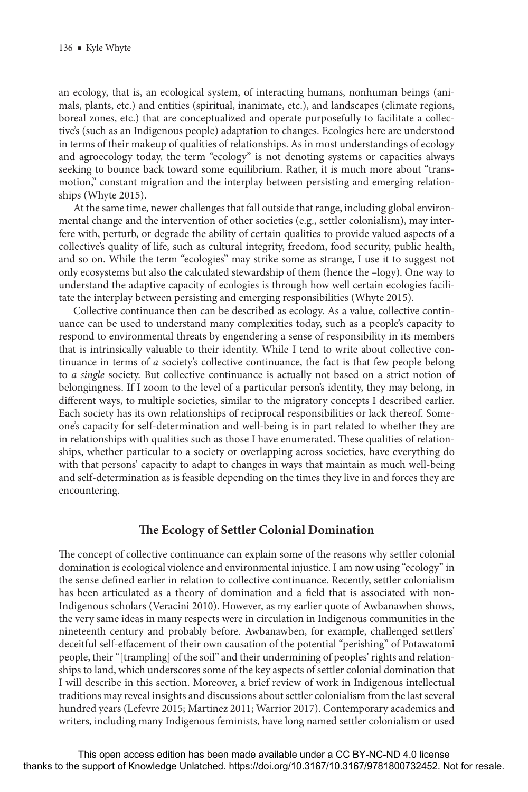an ecology, that is, an ecological system, of interacting humans, nonhuman beings (animals, plants, etc.) and entities (spiritual, inanimate, etc.), and landscapes (climate regions, boreal zones, etc.) that are conceptualized and operate purposefully to facilitate a collective's (such as an Indigenous people) adaptation to changes. Ecologies here are understood in terms of their makeup of qualities of relationships. As in most understandings of ecology and agroecology today, the term "ecology" is not denoting systems or capacities always seeking to bounce back toward some equilibrium. Rather, it is much more about "transmotion," constant migration and the interplay between persisting and emerging relationships (Whyte 2015).

At the same time, newer challenges that fall outside that range, including global environmental change and the intervention of other societies (e.g., settler colonialism), may interfere with, perturb, or degrade the ability of certain qualities to provide valued aspects of a collective's quality of life, such as cultural integrity, freedom, food security, public health, and so on. While the term "ecologies" may strike some as strange, I use it to suggest not only ecosystems but also the calculated stewardship of them (hence the –logy). One way to understand the adaptive capacity of ecologies is through how well certain ecologies facilitate the interplay between persisting and emerging responsibilities (Whyte 2015).

Collective continuance then can be described as ecology. As a value, collective continuance can be used to understand many complexities today, such as a people's capacity to respond to environmental threats by engendering a sense of responsibility in its members that is intrinsically valuable to their identity. While I tend to write about collective continuance in terms of *a* society's collective continuance, the fact is that few people belong to *a single* society. But collective continuance is actually not based on a strict notion of belongingness. If I zoom to the level of a particular person's identity, they may belong, in different ways, to multiple societies, similar to the migratory concepts I described earlier. Each society has its own relationships of reciprocal responsibilities or lack thereof. Someone's capacity for self-determination and well-being is in part related to whether they are in relationships with qualities such as those I have enumerated. These qualities of relationships, whether particular to a society or overlapping across societies, have everything do with that persons' capacity to adapt to changes in ways that maintain as much well-being and self-determination as is feasible depending on the times they live in and forces they are encountering.

# **The Ecology of Settler Colonial Domination**

The concept of collective continuance can explain some of the reasons why settler colonial domination is ecological violence and environmental injustice. I am now using "ecology" in the sense defined earlier in relation to collective continuance. Recently, settler colonialism has been articulated as a theory of domination and a field that is associated with non-Indigenous scholars (Veracini 2010). However, as my earlier quote of Awbanawben shows, the very same ideas in many respects were in circulation in Indigenous communities in the nineteenth century and probably before. Awbanawben, for example, challenged settlers' deceitful self-effacement of their own causation of the potential "perishing" of Potawatomi people, their "[trampling] of the soil" and their undermining of peoples' rights and relationships to land, which underscores some of the key aspects of settler colonial domination that I will describe in this section. Moreover, a brief review of work in Indigenous intellectual traditions may reveal insights and discussions about settler colonialism from the last several hundred years (Lefevre 2015; Martinez 2011; Warrior 2017). Contemporary academics and writers, including many Indigenous feminists, have long named settler colonialism or used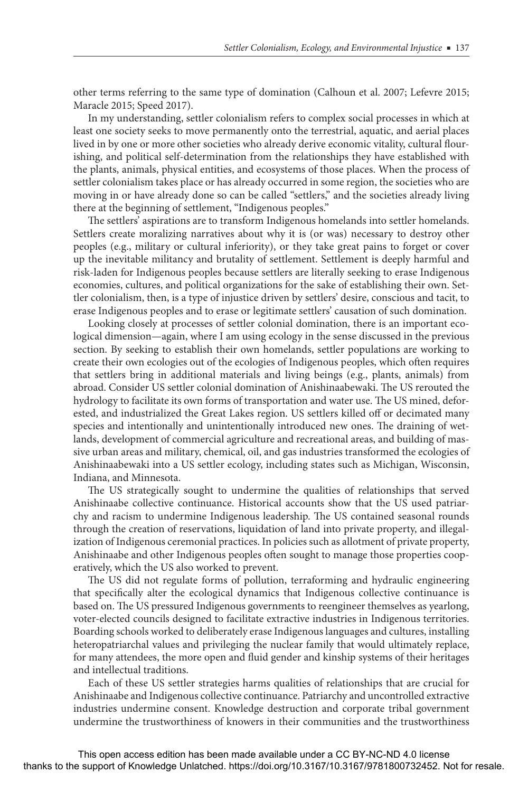other terms referring to the same type of domination (Calhoun et al. 2007; Lefevre 2015; Maracle 2015; Speed 2017).

In my understanding, settler colonialism refers to complex social processes in which at least one society seeks to move permanently onto the terrestrial, aquatic, and aerial places lived in by one or more other societies who already derive economic vitality, cultural flourishing, and political self-determination from the relationships they have established with the plants, animals, physical entities, and ecosystems of those places. When the process of settler colonialism takes place or has already occurred in some region, the societies who are moving in or have already done so can be called "settlers," and the societies already living there at the beginning of settlement, "Indigenous peoples."

The settlers' aspirations are to transform Indigenous homelands into settler homelands. Settlers create moralizing narratives about why it is (or was) necessary to destroy other peoples (e.g., military or cultural inferiority), or they take great pains to forget or cover up the inevitable militancy and brutality of settlement. Settlement is deeply harmful and risk-laden for Indigenous peoples because settlers are literally seeking to erase Indigenous economies, cultures, and political organizations for the sake of establishing their own. Settler colonialism, then, is a type of injustice driven by settlers' desire, conscious and tacit, to erase Indigenous peoples and to erase or legitimate settlers' causation of such domination.

Looking closely at processes of settler colonial domination, there is an important ecological dimension—again, where I am using ecology in the sense discussed in the previous section. By seeking to establish their own homelands, settler populations are working to create their own ecologies out of the ecologies of Indigenous peoples, which often requires that settlers bring in additional materials and living beings (e.g., plants, animals) from abroad. Consider US settler colonial domination of Anishinaabewaki. The US rerouted the hydrology to facilitate its own forms of transportation and water use. The US mined, deforested, and industrialized the Great Lakes region. US settlers killed off or decimated many species and intentionally and unintentionally introduced new ones. The draining of wetlands, development of commercial agriculture and recreational areas, and building of massive urban areas and military, chemical, oil, and gas industries transformed the ecologies of Anishinaabewaki into a US settler ecology, including states such as Michigan, Wisconsin, Indiana, and Minnesota.

The US strategically sought to undermine the qualities of relationships that served Anishinaabe collective continuance. Historical accounts show that the US used patriarchy and racism to undermine Indigenous leadership. The US contained seasonal rounds through the creation of reservations, liquidation of land into private property, and illegalization of Indigenous ceremonial practices. In policies such as allotment of private property, Anishinaabe and other Indigenous peoples often sought to manage those properties cooperatively, which the US also worked to prevent.

The US did not regulate forms of pollution, terraforming and hydraulic engineering that specifically alter the ecological dynamics that Indigenous collective continuance is based on. The US pressured Indigenous governments to reengineer themselves as yearlong, voter-elected councils designed to facilitate extractive industries in Indigenous territories. Boarding schools worked to deliberately erase Indigenous languages and cultures, installing heteropatriarchal values and privileging the nuclear family that would ultimately replace, for many attendees, the more open and fluid gender and kinship systems of their heritages and intellectual traditions.

Each of these US settler strategies harms qualities of relationships that are crucial for Anishinaabe and Indigenous collective continuance. Patriarchy and uncontrolled extractive industries undermine consent. Knowledge destruction and corporate tribal government undermine the trustworthiness of knowers in their communities and the trustworthiness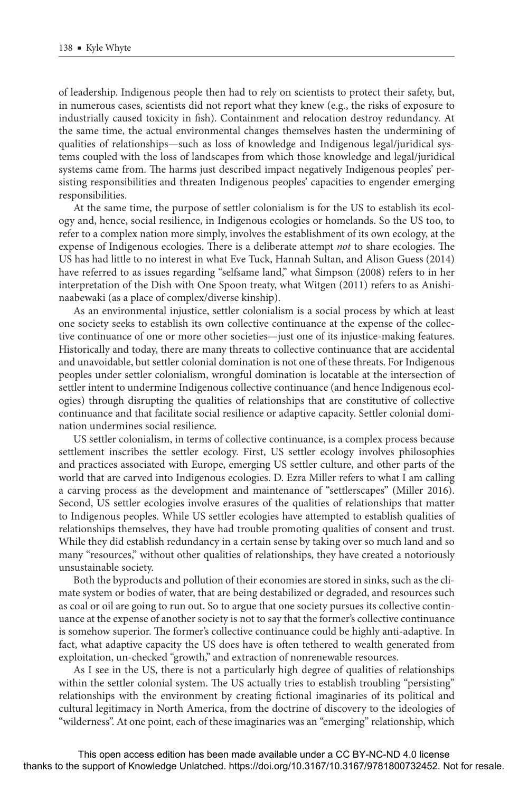of leadership. Indigenous people then had to rely on scientists to protect their safety, but, in numerous cases, scientists did not report what they knew (e.g., the risks of exposure to industrially caused toxicity in fish). Containment and relocation destroy redundancy. At the same time, the actual environmental changes themselves hasten the undermining of qualities of relationships—such as loss of knowledge and Indigenous legal/juridical systems coupled with the loss of landscapes from which those knowledge and legal/juridical systems came from. The harms just described impact negatively Indigenous peoples' persisting responsibilities and threaten Indigenous peoples' capacities to engender emerging responsibilities.

At the same time, the purpose of settler colonialism is for the US to establish its ecology and, hence, social resilience, in Indigenous ecologies or homelands. So the US too, to refer to a complex nation more simply, involves the establishment of its own ecology, at the expense of Indigenous ecologies. There is a deliberate attempt *not* to share ecologies. The US has had little to no interest in what Eve Tuck, Hannah Sultan, and Alison Guess (2014) have referred to as issues regarding "selfsame land," what Simpson (2008) refers to in her interpretation of the Dish with One Spoon treaty, what Witgen (2011) refers to as Anishinaabewaki (as a place of complex/diverse kinship).

As an environmental injustice, settler colonialism is a social process by which at least one society seeks to establish its own collective continuance at the expense of the collective continuance of one or more other societies—just one of its injustice-making features. Historically and today, there are many threats to collective continuance that are accidental and unavoidable, but settler colonial domination is not one of these threats. For Indigenous peoples under settler colonialism, wrongful domination is locatable at the intersection of settler intent to undermine Indigenous collective continuance (and hence Indigenous ecologies) through disrupting the qualities of relationships that are constitutive of collective continuance and that facilitate social resilience or adaptive capacity. Settler colonial domination undermines social resilience.

US settler colonialism, in terms of collective continuance, is a complex process because settlement inscribes the settler ecology. First, US settler ecology involves philosophies and practices associated with Europe, emerging US settler culture, and other parts of the world that are carved into Indigenous ecologies. D. Ezra Miller refers to what I am calling a carving process as the development and maintenance of "settlerscapes" (Miller 2016). Second, US settler ecologies involve erasures of the qualities of relationships that matter to Indigenous peoples. While US settler ecologies have attempted to establish qualities of relationships themselves, they have had trouble promoting qualities of consent and trust. While they did establish redundancy in a certain sense by taking over so much land and so many "resources," without other qualities of relationships, they have created a notoriously unsustainable society.

Both the byproducts and pollution of their economies are stored in sinks, such as the climate system or bodies of water, that are being destabilized or degraded, and resources such as coal or oil are going to run out. So to argue that one society pursues its collective continuance at the expense of another society is not to say that the former's collective continuance is somehow superior. The former's collective continuance could be highly anti-adaptive. In fact, what adaptive capacity the US does have is often tethered to wealth generated from exploitation, un-checked "growth," and extraction of nonrenewable resources.

As I see in the US, there is not a particularly high degree of qualities of relationships within the settler colonial system. The US actually tries to establish troubling "persisting" relationships with the environment by creating fictional imaginaries of its political and cultural legitimacy in North America, from the doctrine of discovery to the ideologies of "wilderness". At one point, each of these imaginaries was an "emerging" relationship, which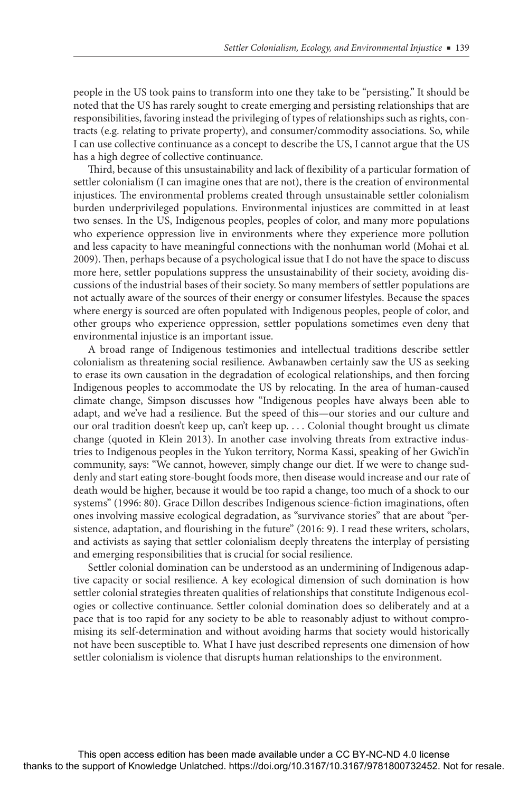people in the US took pains to transform into one they take to be "persisting." It should be noted that the US has rarely sought to create emerging and persisting relationships that are responsibilities, favoring instead the privileging of types of relationships such as rights, contracts (e.g. relating to private property), and consumer/commodity associations. So, while I can use collective continuance as a concept to describe the US, I cannot argue that the US has a high degree of collective continuance.

Third, because of this unsustainability and lack of flexibility of a particular formation of settler colonialism (I can imagine ones that are not), there is the creation of environmental injustices. The environmental problems created through unsustainable settler colonialism burden underprivileged populations. Environmental injustices are committed in at least two senses. In the US, Indigenous peoples, peoples of color, and many more populations who experience oppression live in environments where they experience more pollution and less capacity to have meaningful connections with the nonhuman world (Mohai et al. 2009). Then, perhaps because of a psychological issue that I do not have the space to discuss more here, settler populations suppress the unsustainability of their society, avoiding discussions of the industrial bases of their society. So many members of settler populations are not actually aware of the sources of their energy or consumer lifestyles. Because the spaces where energy is sourced are often populated with Indigenous peoples, people of color, and other groups who experience oppression, settler populations sometimes even deny that environmental injustice is an important issue.

A broad range of Indigenous testimonies and intellectual traditions describe settler colonialism as threatening social resilience. Awbanawben certainly saw the US as seeking to erase its own causation in the degradation of ecological relationships, and then forcing Indigenous peoples to accommodate the US by relocating. In the area of human-caused climate change, Simpson discusses how "Indigenous peoples have always been able to adapt, and we've had a resilience. But the speed of this—our stories and our culture and our oral tradition doesn't keep up, can't keep up. . . . Colonial thought brought us climate change (quoted in Klein 2013). In another case involving threats from extractive industries to Indigenous peoples in the Yukon territory, Norma Kassi, speaking of her Gwich'in community, says: "We cannot, however, simply change our diet. If we were to change suddenly and start eating store-bought foods more, then disease would increase and our rate of death would be higher, because it would be too rapid a change, too much of a shock to our systems" (1996: 80). Grace Dillon describes Indigenous science-fiction imaginations, often ones involving massive ecological degradation, as "survivance stories" that are about "persistence, adaptation, and flourishing in the future" (2016: 9). I read these writers, scholars, and activists as saying that settler colonialism deeply threatens the interplay of persisting and emerging responsibilities that is crucial for social resilience.

Settler colonial domination can be understood as an undermining of Indigenous adaptive capacity or social resilience. A key ecological dimension of such domination is how settler colonial strategies threaten qualities of relationships that constitute Indigenous ecologies or collective continuance. Settler colonial domination does so deliberately and at a pace that is too rapid for any society to be able to reasonably adjust to without compromising its self-determination and without avoiding harms that society would historically not have been susceptible to. What I have just described represents one dimension of how settler colonialism is violence that disrupts human relationships to the environment.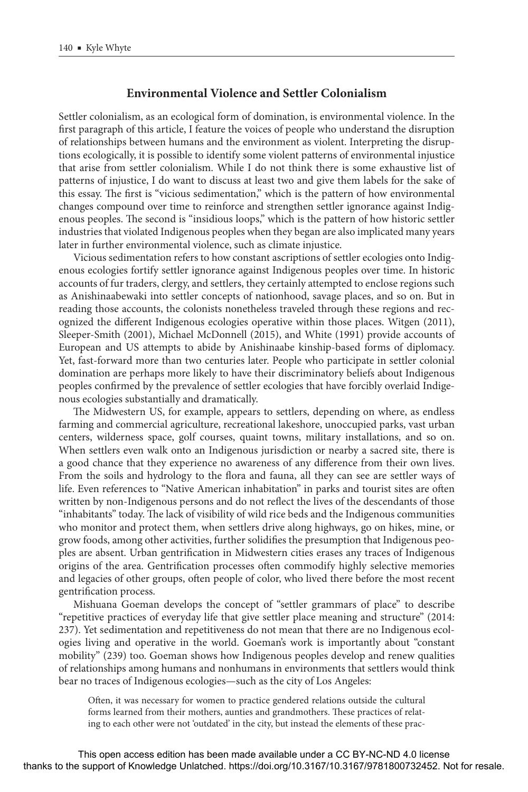### **Environmental Violence and Settler Colonialism**

Settler colonialism, as an ecological form of domination, is environmental violence. In the first paragraph of this article, I feature the voices of people who understand the disruption of relationships between humans and the environment as violent. Interpreting the disruptions ecologically, it is possible to identify some violent patterns of environmental injustice that arise from settler colonialism. While I do not think there is some exhaustive list of patterns of injustice, I do want to discuss at least two and give them labels for the sake of this essay. The first is "vicious sedimentation," which is the pattern of how environmental changes compound over time to reinforce and strengthen settler ignorance against Indigenous peoples. The second is "insidious loops," which is the pattern of how historic settler industries that violated Indigenous peoples when they began are also implicated many years later in further environmental violence, such as climate injustice.

Vicious sedimentation refers to how constant ascriptions of settler ecologies onto Indigenous ecologies fortify settler ignorance against Indigenous peoples over time. In historic accounts of fur traders, clergy, and settlers, they certainly attempted to enclose regions such as Anishinaabewaki into settler concepts of nationhood, savage places, and so on. But in reading those accounts, the colonists nonetheless traveled through these regions and recognized the different Indigenous ecologies operative within those places. Witgen (2011), Sleeper-Smith (2001), Michael McDonnell (2015), and White (1991) provide accounts of European and US attempts to abide by Anishinaabe kinship-based forms of diplomacy. Yet, fast-forward more than two centuries later. People who participate in settler colonial domination are perhaps more likely to have their discriminatory beliefs about Indigenous peoples confirmed by the prevalence of settler ecologies that have forcibly overlaid Indigenous ecologies substantially and dramatically.

The Midwestern US, for example, appears to settlers, depending on where, as endless farming and commercial agriculture, recreational lakeshore, unoccupied parks, vast urban centers, wilderness space, golf courses, quaint towns, military installations, and so on. When settlers even walk onto an Indigenous jurisdiction or nearby a sacred site, there is a good chance that they experience no awareness of any difference from their own lives. From the soils and hydrology to the flora and fauna, all they can see are settler ways of life. Even references to "Native American inhabitation" in parks and tourist sites are often written by non-Indigenous persons and do not reflect the lives of the descendants of those "inhabitants" today. The lack of visibility of wild rice beds and the Indigenous communities who monitor and protect them, when settlers drive along highways, go on hikes, mine, or grow foods, among other activities, further solidifies the presumption that Indigenous peoples are absent. Urban gentrification in Midwestern cities erases any traces of Indigenous origins of the area. Gentrification processes often commodify highly selective memories and legacies of other groups, often people of color, who lived there before the most recent gentrification process.

Mishuana Goeman develops the concept of "settler grammars of place" to describe "repetitive practices of everyday life that give settler place meaning and structure" (2014: 237). Yet sedimentation and repetitiveness do not mean that there are no Indigenous ecologies living and operative in the world. Goeman's work is importantly about "constant mobility" (239) too. Goeman shows how Indigenous peoples develop and renew qualities of relationships among humans and nonhumans in environments that settlers would think bear no traces of Indigenous ecologies—such as the city of Los Angeles:

Often, it was necessary for women to practice gendered relations outside the cultural forms learned from their mothers, aunties and grandmothers. These practices of relating to each other were not 'outdated' in the city, but instead the elements of these prac-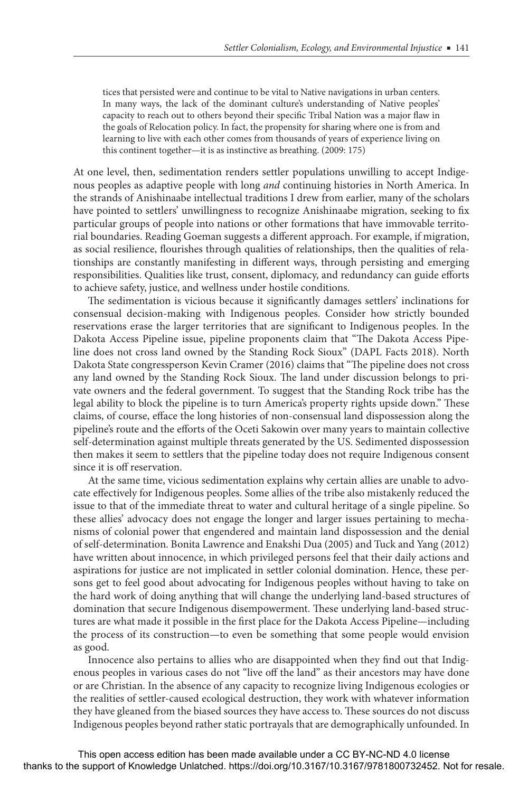tices that persisted were and continue to be vital to Native navigations in urban centers. In many ways, the lack of the dominant culture's understanding of Native peoples' capacity to reach out to others beyond their specific Tribal Nation was a major flaw in the goals of Relocation policy. In fact, the propensity for sharing where one is from and learning to live with each other comes from thousands of years of experience living on this continent together—it is as instinctive as breathing. (2009: 175)

At one level, then, sedimentation renders settler populations unwilling to accept Indigenous peoples as adaptive people with long *and* continuing histories in North America. In the strands of Anishinaabe intellectual traditions I drew from earlier, many of the scholars have pointed to settlers' unwillingness to recognize Anishinaabe migration, seeking to fix particular groups of people into nations or other formations that have immovable territorial boundaries. Reading Goeman suggests a different approach. For example, if migration, as social resilience, flourishes through qualities of relationships, then the qualities of relationships are constantly manifesting in different ways, through persisting and emerging responsibilities. Qualities like trust, consent, diplomacy, and redundancy can guide efforts to achieve safety, justice, and wellness under hostile conditions.

The sedimentation is vicious because it significantly damages settlers' inclinations for consensual decision-making with Indigenous peoples. Consider how strictly bounded reservations erase the larger territories that are significant to Indigenous peoples. In the Dakota Access Pipeline issue, pipeline proponents claim that "The Dakota Access Pipeline does not cross land owned by the Standing Rock Sioux" (DAPL Facts 2018). North Dakota State congressperson Kevin Cramer (2016) claims that "The pipeline does not cross any land owned by the Standing Rock Sioux. The land under discussion belongs to private owners and the federal government. To suggest that the Standing Rock tribe has the legal ability to block the pipeline is to turn America's property rights upside down." These claims, of course, efface the long histories of non-consensual land dispossession along the pipeline's route and the efforts of the Oceti Sakowin over many years to maintain collective self-determination against multiple threats generated by the US. Sedimented dispossession then makes it seem to settlers that the pipeline today does not require Indigenous consent since it is off reservation.

At the same time, vicious sedimentation explains why certain allies are unable to advocate effectively for Indigenous peoples. Some allies of the tribe also mistakenly reduced the issue to that of the immediate threat to water and cultural heritage of a single pipeline. So these allies' advocacy does not engage the longer and larger issues pertaining to mechanisms of colonial power that engendered and maintain land dispossession and the denial of self-determination. Bonita Lawrence and Enakshi Dua (2005) and Tuck and Yang (2012) have written about innocence, in which privileged persons feel that their daily actions and aspirations for justice are not implicated in settler colonial domination. Hence, these persons get to feel good about advocating for Indigenous peoples without having to take on the hard work of doing anything that will change the underlying land-based structures of domination that secure Indigenous disempowerment. These underlying land-based structures are what made it possible in the first place for the Dakota Access Pipeline—including the process of its construction—to even be something that some people would envision as good.

Innocence also pertains to allies who are disappointed when they find out that Indigenous peoples in various cases do not "live off the land" as their ancestors may have done or are Christian. In the absence of any capacity to recognize living Indigenous ecologies or the realities of settler-caused ecological destruction, they work with whatever information they have gleaned from the biased sources they have access to. These sources do not discuss Indigenous peoples beyond rather static portrayals that are demographically unfounded. In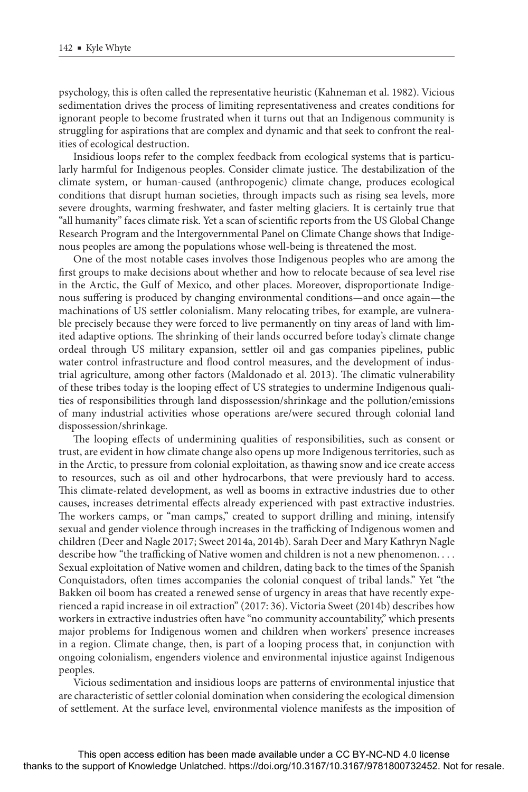psychology, this is often called the representative heuristic (Kahneman et al. 1982). Vicious sedimentation drives the process of limiting representativeness and creates conditions for ignorant people to become frustrated when it turns out that an Indigenous community is struggling for aspirations that are complex and dynamic and that seek to confront the realities of ecological destruction.

Insidious loops refer to the complex feedback from ecological systems that is particularly harmful for Indigenous peoples. Consider climate justice. The destabilization of the climate system, or human-caused (anthropogenic) climate change, produces ecological conditions that disrupt human societies, through impacts such as rising sea levels, more severe droughts, warming freshwater, and faster melting glaciers. It is certainly true that "all humanity" faces climate risk. Yet a scan of scientific reports from the US Global Change Research Program and the Intergovernmental Panel on Climate Change shows that Indigenous peoples are among the populations whose well-being is threatened the most.

One of the most notable cases involves those Indigenous peoples who are among the first groups to make decisions about whether and how to relocate because of sea level rise in the Arctic, the Gulf of Mexico, and other places. Moreover, disproportionate Indigenous suffering is produced by changing environmental conditions—and once again—the machinations of US settler colonialism. Many relocating tribes, for example, are vulnerable precisely because they were forced to live permanently on tiny areas of land with limited adaptive options. The shrinking of their lands occurred before today's climate change ordeal through US military expansion, settler oil and gas companies pipelines, public water control infrastructure and flood control measures, and the development of industrial agriculture, among other factors (Maldonado et al. 2013). The climatic vulnerability of these tribes today is the looping effect of US strategies to undermine Indigenous qualities of responsibilities through land dispossession/shrinkage and the pollution/emissions of many industrial activities whose operations are/were secured through colonial land dispossession/shrinkage.

The looping effects of undermining qualities of responsibilities, such as consent or trust, are evident in how climate change also opens up more Indigenous territories, such as in the Arctic, to pressure from colonial exploitation, as thawing snow and ice create access to resources, such as oil and other hydrocarbons, that were previously hard to access. This climate-related development, as well as booms in extractive industries due to other causes, increases detrimental effects already experienced with past extractive industries. The workers camps, or "man camps," created to support drilling and mining, intensify sexual and gender violence through increases in the trafficking of Indigenous women and children (Deer and Nagle 2017; Sweet 2014a, 2014b). Sarah Deer and Mary Kathryn Nagle describe how "the trafficking of Native women and children is not a new phenomenon. . . . Sexual exploitation of Native women and children, dating back to the times of the Spanish Conquistadors, often times accompanies the colonial conquest of tribal lands." Yet "the Bakken oil boom has created a renewed sense of urgency in areas that have recently experienced a rapid increase in oil extraction" (2017: 36). Victoria Sweet (2014b) describes how workers in extractive industries often have "no community accountability," which presents major problems for Indigenous women and children when workers' presence increases in a region. Climate change, then, is part of a looping process that, in conjunction with ongoing colonialism, engenders violence and environmental injustice against Indigenous peoples.

Vicious sedimentation and insidious loops are patterns of environmental injustice that are characteristic of settler colonial domination when considering the ecological dimension of settlement. At the surface level, environmental violence manifests as the imposition of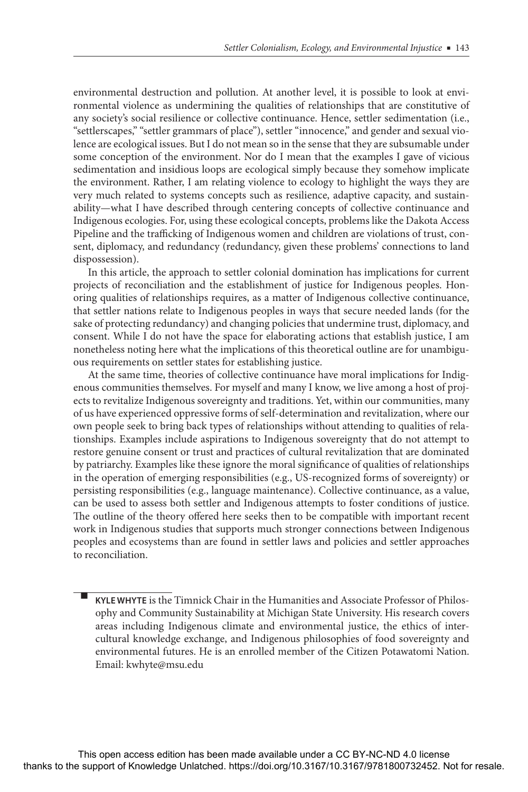environmental destruction and pollution. At another level, it is possible to look at environmental violence as undermining the qualities of relationships that are constitutive of any society's social resilience or collective continuance. Hence, settler sedimentation (i.e., "settlerscapes," "settler grammars of place"), settler "innocence," and gender and sexual violence are ecological issues. But I do not mean so in the sense that they are subsumable under some conception of the environment. Nor do I mean that the examples I gave of vicious sedimentation and insidious loops are ecological simply because they somehow implicate the environment. Rather, I am relating violence to ecology to highlight the ways they are very much related to systems concepts such as resilience, adaptive capacity, and sustainability—what I have described through centering concepts of collective continuance and Indigenous ecologies. For, using these ecological concepts, problems like the Dakota Access Pipeline and the trafficking of Indigenous women and children are violations of trust, consent, diplomacy, and redundancy (redundancy, given these problems' connections to land dispossession).

In this article, the approach to settler colonial domination has implications for current projects of reconciliation and the establishment of justice for Indigenous peoples. Honoring qualities of relationships requires, as a matter of Indigenous collective continuance, that settler nations relate to Indigenous peoples in ways that secure needed lands (for the sake of protecting redundancy) and changing policies that undermine trust, diplomacy, and consent. While I do not have the space for elaborating actions that establish justice, I am nonetheless noting here what the implications of this theoretical outline are for unambiguous requirements on settler states for establishing justice.

At the same time, theories of collective continuance have moral implications for Indigenous communities themselves. For myself and many I know, we live among a host of projects to revitalize Indigenous sovereignty and traditions. Yet, within our communities, many of us have experienced oppressive forms of self-determination and revitalization, where our own people seek to bring back types of relationships without attending to qualities of relationships. Examples include aspirations to Indigenous sovereignty that do not attempt to restore genuine consent or trust and practices of cultural revitalization that are dominated by patriarchy. Examples like these ignore the moral significance of qualities of relationships in the operation of emerging responsibilities (e.g., US-recognized forms of sovereignty) or persisting responsibilities (e.g., language maintenance). Collective continuance, as a value, can be used to assess both settler and Indigenous attempts to foster conditions of justice. The outline of the theory offered here seeks then to be compatible with important recent work in Indigenous studies that supports much stronger connections between Indigenous peoples and ecosystems than are found in settler laws and policies and settler approaches to reconciliation.

n **KYLE WHYTE** is the Timnick Chair in the Humanities and Associate Professor of Philosophy and Community Sustainability at Michigan State University. His research covers areas including Indigenous climate and environmental justice, the ethics of intercultural knowledge exchange, and Indigenous philosophies of food sovereignty and environmental futures. He is an enrolled member of the Citizen Potawatomi Nation. Email: kwhyte@msu.edu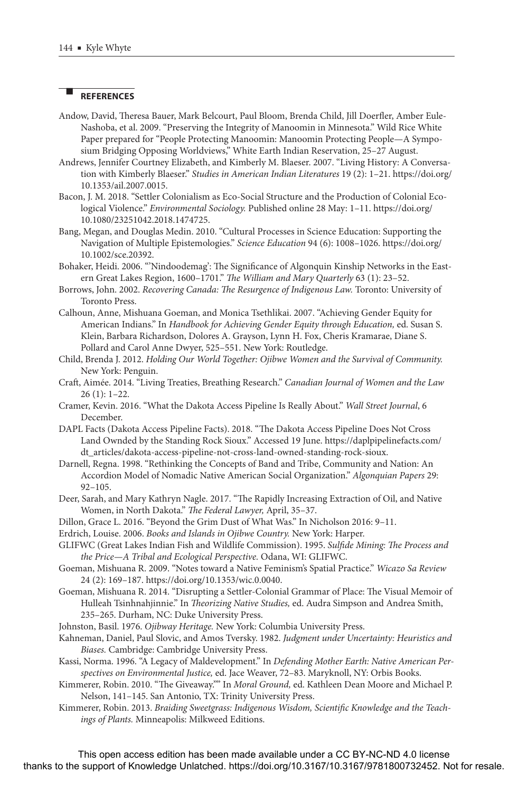#### n **REFERENCES**

- Andow, David, Theresa Bauer, Mark Belcourt, Paul Bloom, Brenda Child, Jill Doerfler, Amber Eule-Nashoba, et al. 2009. "Preserving the Integrity of Manoomin in Minnesota." Wild Rice White Paper prepared for "People Protecting Manoomin: Manoomin Protecting People—A Symposium Bridging Opposing Worldviews," White Earth Indian Reservation, 25–27 August.
- Andrews, Jennifer Courtney Elizabeth, and Kimberly M. Blaeser. 2007. "Living History: A Conversation with Kimberly Blaeser." *Studies in American Indian Literatures* 19 (2): 1–21. https://doi.org/ 10.1353/ail.2007.0015.
- Bacon, J. M. 2018. "Settler Colonialism as Eco-Social Structure and the Production of Colonial Ecological Violence." *Environmental Sociology.* Published online 28 May: 1–11. https://doi.org/ 10.1080/23251042.2018.1474725.
- Bang, Megan, and Douglas Medin. 2010. "Cultural Processes in Science Education: Supporting the Navigation of Multiple Epistemologies." *Science Education* 94 (6): 1008–1026. https://doi.org/ 10.1002/sce.20392.
- Bohaker, Heidi. 2006. "'Nindoodemag': The Significance of Algonquin Kinship Networks in the Eastern Great Lakes Region, 1600–1701." *The William and Mary Quarterly* 63 (1): 23–52.
- Borrows, John. 2002. *Recovering Canada: The Resurgence of Indigenous Law.* Toronto: University of Toronto Press.
- Calhoun, Anne, Mishuana Goeman, and Monica Tsethlikai. 2007. "Achieving Gender Equity for American Indians." In *Handbook for Achieving Gender Equity through Education,* ed. Susan S. Klein, Barbara Richardson, Dolores A. Grayson, Lynn H. Fox, Cheris Kramarae, Diane S. Pollard and Carol Anne Dwyer, 525–551. New York: Routledge.
- Child, Brenda J. 2012. *Holding Our World Together: Ojibwe Women and the Survival of Community.* New York: Penguin.
- Craft, Aimée. 2014. "Living Treaties, Breathing Research." *Canadian Journal of Women and the Law*  26 (1): 1–22.
- Cramer, Kevin. 2016. "What the Dakota Access Pipeline Is Really About." *Wall Street Journal*, 6 December.
- DAPL Facts (Dakota Access Pipeline Facts). 2018. "The Dakota Access Pipeline Does Not Cross Land Ownded by the Standing Rock Sioux." Accessed 19 June. https://daplpipelinefacts.com/ dt\_articles/dakota-access-pipeline-not-cross-land-owned-standing-rock-sioux.
- Darnell, Regna. 1998. "Rethinking the Concepts of Band and Tribe, Community and Nation: An Accordion Model of Nomadic Native American Social Organization." *Algonquian Papers* 29: 92–105.
- Deer, Sarah, and Mary Kathryn Nagle. 2017. "The Rapidly Increasing Extraction of Oil, and Native Women, in North Dakota." *The Federal Lawyer,* April, 35–37.
- Dillon, Grace L. 2016. "Beyond the Grim Dust of What Was." In Nicholson 2016: 9–11.
- Erdrich, Louise. 2006. *Books and Islands in Ojibwe Country.* New York: Harper.
- GLIFWC (Great Lakes Indian Fish and Wildlife Commission). 1995. *Sulfide Mining: The Process and the Price—A Tribal and Ecological Perspective.* Odana, WI: GLIFWC.
- Goeman, Mishuana R. 2009. "Notes toward a Native Feminism's Spatial Practice." *Wicazo Sa Review*  24 (2): 169–187. https://doi.org/10.1353/wic.0.0040.
- Goeman, Mishuana R. 2014. "Disrupting a Settler-Colonial Grammar of Place: The Visual Memoir of Hulleah Tsinhnahjinnie." In *Theorizing Native Studies,* ed. Audra Simpson and Andrea Smith, 235–265. Durham, NC: Duke University Press.
- Johnston, Basil. 1976. *Ojibway Heritage.* New York: Columbia University Press.
- Kahneman, Daniel, Paul Slovic, and Amos Tversky. 1982. *Judgment under Uncertainty: Heuristics and Biases.* Cambridge: Cambridge University Press.
- Kassi, Norma. 1996. "A Legacy of Maldevelopment." In *Defending Mother Earth: Native American Perspectives on Environmental Justice,* ed. Jace Weaver, 72–83. Maryknoll, NY: Orbis Books.
- Kimmerer, Robin. 2010. "The Giveaway."" In *Moral Ground,* ed. Kathleen Dean Moore and Michael P. Nelson, 141–145. San Antonio, TX: Trinity University Press.
- Kimmerer, Robin. 2013. *Braiding Sweetgrass: Indigenous Wisdom, Scientific Knowledge and the Teachings of Plants.* Minneapolis: Milkweed Editions.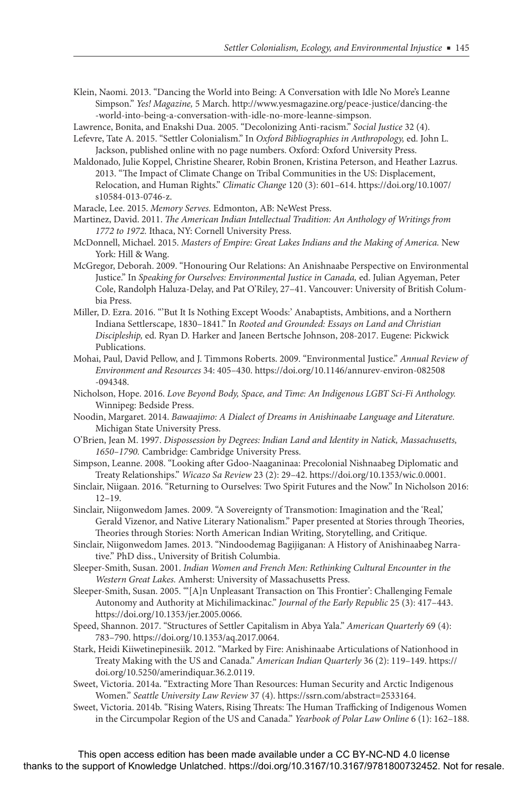Klein, Naomi. 2013. "Dancing the World into Being: A Conversation with Idle No More's Leanne Simpson." *Yes! Magazine,* 5 March. http://www.yesmagazine.org/peace-justice/dancing-the -world-into-being-a-conversation-with-idle-no-more-leanne-simpson.

Lawrence, Bonita, and Enakshi Dua. 2005. "Decolonizing Anti-racism." *Social Justice* 32 (4).

- Lefevre, Tate A. 2015. "Settler Colonialism." In *Oxford Bibliographies in Anthropology,* ed. John L. Jackson, published online with no page numbers. Oxford: Oxford University Press.
- Maldonado, Julie Koppel, Christine Shearer, Robin Bronen, Kristina Peterson, and Heather Lazrus. 2013. "The Impact of Climate Change on Tribal Communities in the US: Displacement, Relocation, and Human Rights." *Climatic Change* 120 (3): 601–614. https://doi.org/10.1007/ s10584-013-0746-z.
- Maracle, Lee. 2015. *Memory Serves.* Edmonton, AB: NeWest Press.

Martinez, David. 2011. *The American Indian Intellectual Tradition: An Anthology of Writings from 1772 to 1972.* Ithaca, NY: Cornell University Press.

- McDonnell, Michael. 2015. *Masters of Empire: Great Lakes Indians and the Making of America.* New York: Hill & Wang.
- McGregor, Deborah. 2009. "Honouring Our Relations: An Anishnaabe Perspective on Environmental Justice." In *Speaking for Ourselves: Environmental Justice in Canada,* ed. Julian Agyeman, Peter Cole, Randolph Haluza-Delay, and Pat O'Riley, 27–41. Vancouver: University of British Columbia Press.
- Miller, D. Ezra. 2016. "'But It Is Nothing Except Woods:' Anabaptists, Ambitions, and a Northern Indiana Settlerscape, 1830–1841." In *Rooted and Grounded: Essays on Land and Christian Discipleship,* ed. Ryan D. Harker and Janeen Bertsche Johnson, 208-2017. Eugene: Pickwick Publications.
- Mohai, Paul, David Pellow, and J. Timmons Roberts. 2009. "Environmental Justice." *Annual Review of Environment and Resources* 34: 405–430. https://doi.org/10.1146/annurev-environ-082508 -094348.
- Nicholson, Hope. 2016. *Love Beyond Body, Space, and Time: An Indigenous LGBT Sci-Fi Anthology.* Winnipeg: Bedside Press.
- Noodin, Margaret. 2014. *Bawaajimo: A Dialect of Dreams in Anishinaabe Language and Literature.* Michigan State University Press.
- O'Brien, Jean M. 1997. *Dispossession by Degrees: Indian Land and Identity in Natick, Massachusetts, 1650–1790.* Cambridge: Cambridge University Press.
- Simpson, Leanne. 2008. "Looking after Gdoo-Naaganinaa: Precolonial Nishnaabeg Diplomatic and Treaty Relationships." *Wicazo Sa Review* 23 (2): 29–42. https://doi.org/10.1353/wic.0.0001.
- Sinclair, Niigaan. 2016. "Returning to Ourselves: Two Spirit Futures and the Now." In Nicholson 2016: 12–19.
- Sinclair, Niigonwedom James. 2009. "A Sovereignty of Transmotion: Imagination and the 'Real,' Gerald Vizenor, and Native Literary Nationalism." Paper presented at Stories through Theories, Theories through Stories: North American Indian Writing, Storytelling, and Critique.
- Sinclair, Niigonwedom James. 2013. "Nindoodemag Bagijiganan: A History of Anishinaabeg Narrative." PhD diss., University of British Columbia.
- Sleeper-Smith, Susan. 2001. *Indian Women and French Men: Rethinking Cultural Encounter in the Western Great Lakes.* Amherst: University of Massachusetts Press.
- Sleeper-Smith, Susan. 2005. "'[A]n Unpleasant Transaction on This Frontier': Challenging Female Autonomy and Authority at Michilimackinac." *Journal of the Early Republic* 25 (3): 417–443. https://doi.org/10.1353/jer.2005.0066.
- Speed, Shannon. 2017. "Structures of Settler Capitalism in Abya Yala." *American Quarterly* 69 (4): 783–790. https://doi.org/10.1353/aq.2017.0064.
- Stark, Heidi Kiiwetinepinesiik. 2012. "Marked by Fire: Anishinaabe Articulations of Nationhood in Treaty Making with the US and Canada." *American Indian Quarterly* 36 (2): 119–149. https:// doi.org/10.5250/amerindiquar.36.2.0119.
- Sweet, Victoria. 2014a. "Extracting More Than Resources: Human Security and Arctic Indigenous Women." *Seattle University Law Review* 37 (4). https://ssrn.com/abstract=2533164.
- Sweet, Victoria. 2014b. "Rising Waters, Rising Threats: The Human Trafficking of Indigenous Women in the Circumpolar Region of the US and Canada." *Yearbook of Polar Law Online* 6 (1): 162–188.